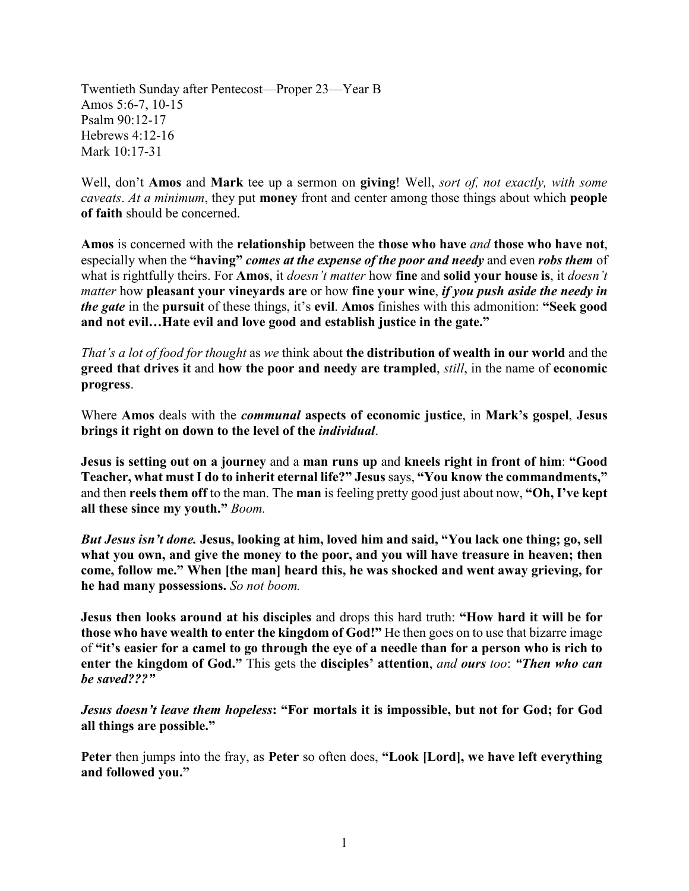Twentieth Sunday after Pentecost—Proper 23—Year B Amos 5:6-7, 10-15 Psalm 90:12-17 Hebrews 4:12-16 Mark 10:17-31

Well, don't **Amos** and **Mark** tee up a sermon on **giving**! Well, *sort of, not exactly, with some caveats*. *At a minimum*, they put **money** front and center among those things about which **people of faith** should be concerned.

**Amos** is concerned with the **relationship** between the **those who have** *and* **those who have not**, especially when the **"having"** *comes at the expense of the poor and needy* and even *robs them* of what is rightfully theirs. For **Amos**, it *doesn't matter* how **fine** and **solid your house is**, it *doesn't matter* how **pleasant your vineyards are** or how **fine your wine**, *if you push aside the needy in the gate* in the **pursuit** of these things, it's **evil**. **Amos** finishes with this admonition: **"Seek good and not evil…Hate evil and love good and establish justice in the gate."**

*That's a lot of food for thought* as *we* think about **the distribution of wealth in our world** and the **greed that drives it** and **how the poor and needy are trampled**, *still*, in the name of **economic progress**.

Where **Amos** deals with the *communal* **aspects of economic justice**, in **Mark's gospel**, **Jesus brings it right on down to the level of the** *individual*.

**Jesus is setting out on a journey** and a **man runs up** and **kneels right in front of him**: **"Good Teacher, what must I do to inherit eternal life?" Jesus** says, **"You know the commandments,"** and then **reels them off** to the man. The **man** is feeling pretty good just about now, **"Oh, I've kept all these since my youth."** *Boom.* 

*But Jesus isn't done.* **Jesus, looking at him, loved him and said, "You lack one thing; go, sell what you own, and give the money to the poor, and you will have treasure in heaven; then come, follow me." When [the man] heard this, he was shocked and went away grieving, for he had many possessions.** *So not boom.*

**Jesus then looks around at his disciples** and drops this hard truth: **"How hard it will be for those who have wealth to enter the kingdom of God!"** He then goes on to use that bizarre image of **"it's easier for a camel to go through the eye of a needle than for a person who is rich to enter the kingdom of God."** This gets the **disciples' attention**, *and ours too*: *"Then who can be saved???"* 

*Jesus doesn't leave them hopeless*: "For mortals it is impossible, but not for God; for God **all things are possible."**

**Peter** then jumps into the fray, as **Peter** so often does, **"Look [Lord], we have left everything and followed you."**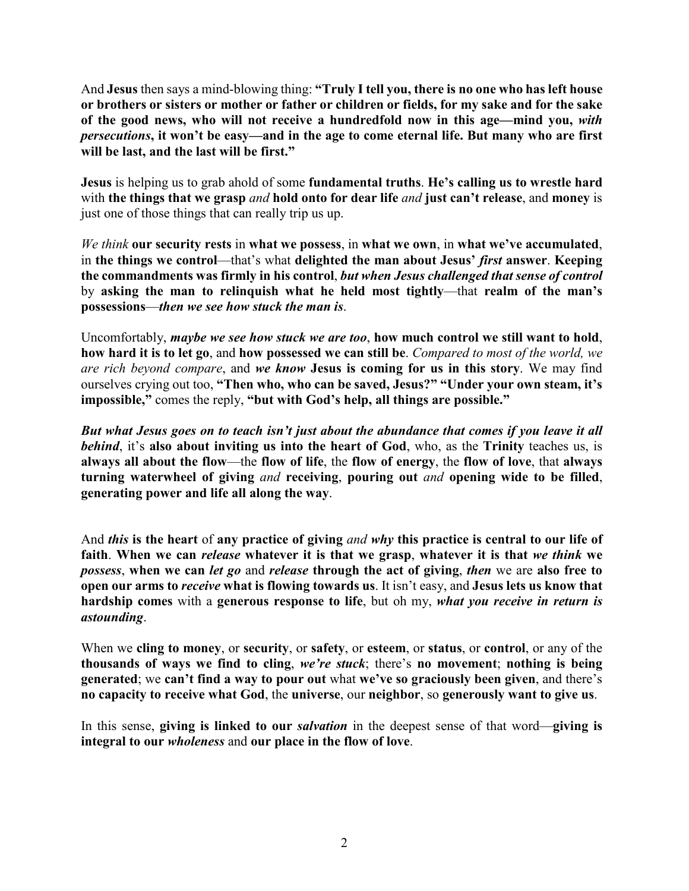And **Jesus** then says a mind-blowing thing: **"Truly I tell you, there is no one who has left house or brothers or sisters or mother or father or children or fields, for my sake and for the sake of the good news, who will not receive a hundredfold now in this age—mind you,** *with persecutions***, it won't be easy—and in the age to come eternal life. But many who are first will be last, and the last will be first."**

**Jesus** is helping us to grab ahold of some **fundamental truths**. **He's calling us to wrestle hard**  with **the things that we grasp** *and* **hold onto for dear life** *and* **just can't release**, and **money** is just one of those things that can really trip us up.

*We think* **our security rests** in **what we possess**, in **what we own**, in **what we've accumulated**, in **the things we control**—that's what **delighted the man about Jesus'** *first* **answer**. **Keeping the commandments was firmly in his control**, *but when Jesus challenged that sense of control* by **asking the man to relinquish what he held most tightly**—that **realm of the man's possessions**—*then we see how stuck the man is*.

Uncomfortably, *maybe we see how stuck we are too*, **how much control we still want to hold**, **how hard it is to let go**, and **how possessed we can still be**. *Compared to most of the world, we are rich beyond compare*, and *we know* **Jesus is coming for us in this story**. We may find ourselves crying out too, **"Then who, who can be saved, Jesus?" "Under your own steam, it's impossible,"** comes the reply, **"but with God's help, all things are possible."**

*But what Jesus goes on to teach isn't just about the abundance that comes if you leave it all behind*, it's **also about inviting us into the heart of God**, who, as the **Trinity** teaches us, is **always all about the flow**—the **flow of life**, the **flow of energy**, the **flow of love**, that **always turning waterwheel of giving** *and* **receiving**, **pouring out** *and* **opening wide to be filled**, **generating power and life all along the way**.

And *this* **is the heart** of **any practice of giving** *and why* **this practice is central to our life of faith**. **When we can** *release* **whatever it is that we grasp**, **whatever it is that** *we think* **we**  *possess*, **when we can** *let go* and *release* **through the act of giving**, *then* we are **also free to open our arms to** *receive* **what is flowing towards us**. It isn't easy, and **Jesus lets us know that hardship comes** with a **generous response to life**, but oh my, *what you receive in return is astounding*.

When we **cling to money**, or **security**, or **safety**, or **esteem**, or **status**, or **control**, or any of the **thousands of ways we find to cling**, *we're stuck*; there's **no movement**; **nothing is being generated**; we **can't find a way to pour out** what **we've so graciously been given**, and there's **no capacity to receive what God**, the **universe**, our **neighbor**, so **generously want to give us**.

In this sense, **giving is linked to our** *salvation* in the deepest sense of that word—**giving is integral to our** *wholeness* and **our place in the flow of love**.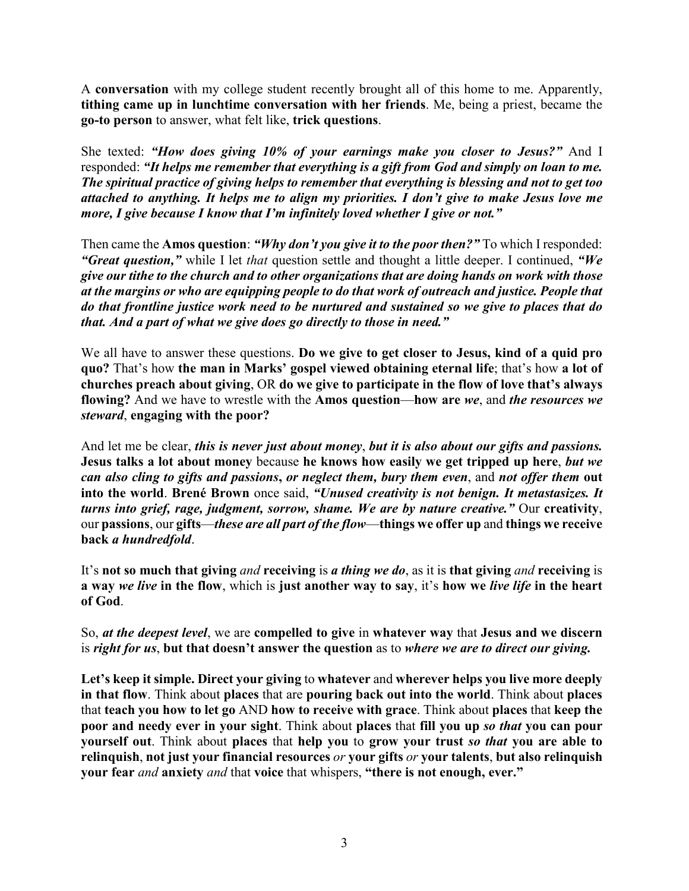A **conversation** with my college student recently brought all of this home to me. Apparently, **tithing came up in lunchtime conversation with her friends**. Me, being a priest, became the **go-to person** to answer, what felt like, **trick questions**.

She texted: *"How does giving 10% of your earnings make you closer to Jesus?"* And I responded: *"It helps me remember that everything is a gift from God and simply on loan to me. The spiritual practice of giving helps to remember that everything is blessing and not to get too attached to anything. It helps me to align my priorities. I don't give to make Jesus love me more, I give because I know that I'm infinitely loved whether I give or not."*

Then came the **Amos question**: *"Why don't you give it to the poor then?"* To which I responded: *"Great question,"* while I let *that* question settle and thought a little deeper. I continued, *"We give our tithe to the church and to other organizations that are doing hands on work with those at the margins or who are equipping people to do that work of outreach and justice. People that do that frontline justice work need to be nurtured and sustained so we give to places that do that. And a part of what we give does go directly to those in need."*

We all have to answer these questions. **Do we give to get closer to Jesus, kind of a quid pro quo?** That's how **the man in Marks' gospel viewed obtaining eternal life**; that's how **a lot of churches preach about giving**, OR **do we give to participate in the flow of love that's always flowing?** And we have to wrestle with the **Amos question**—**how are** *we*, and *the resources we steward*, **engaging with the poor?**

And let me be clear, *this is never just about money*, *but it is also about our gifts and passions.* **Jesus talks a lot about money** because **he knows how easily we get tripped up here**, *but we can also cling to gifts and passions***,** *or neglect them, bury them even*, and *not offer them* **out into the world**. **Brené Brown** once said, *"Unused creativity is not benign. It metastasizes. It turns into grief, rage, judgment, sorrow, shame. We are by nature creative."* Our **creativity**, our **passions**, our **gifts**—*these are all part of the flow*—**things we offer up** and **things we receive back** *a hundredfold*.

It's **not so much that giving** *and* **receiving** is *a thing we do*, as it is **that giving** *and* **receiving** is **a way** *we live* **in the flow**, which is **just another way to say**, it's **how we** *live life* **in the heart of God**.

So, *at the deepest level*, we are **compelled to give** in **whatever way** that **Jesus and we discern**  is *right for us*, **but that doesn't answer the question** as to *where we are to direct our giving.*

**Let's keep it simple. Direct your giving** to **whatever** and **wherever helps you live more deeply in that flow**. Think about **places** that are **pouring back out into the world**. Think about **places** that **teach you how to let go** AND **how to receive with grace**. Think about **places** that **keep the poor and needy ever in your sight**. Think about **places** that **fill you up** *so that* **you can pour yourself out**. Think about **places** that **help you** to **grow your trust** *so that* **you are able to relinquish**, **not just your financial resources** *or* **your gifts** *or* **your talents**, **but also relinquish your fear** *and* **anxiety** *and* that **voice** that whispers, **"there is not enough, ever."**